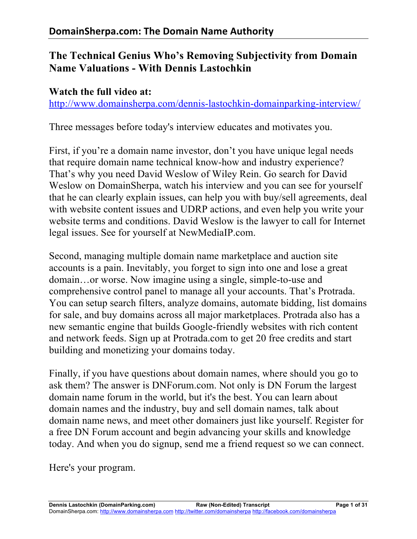# **The Technical Genius Who's Removing Subjectivity from Domain Name Valuations - With Dennis Lastochkin**

#### **Watch the full video at:**

http://www.domainsherpa.com/dennis-lastochkin-domainparking-interview/

Three messages before today's interview educates and motivates you.

First, if you're a domain name investor, don't you have unique legal needs that require domain name technical know-how and industry experience? That's why you need David Weslow of Wiley Rein. Go search for David Weslow on DomainSherpa, watch his interview and you can see for yourself that he can clearly explain issues, can help you with buy/sell agreements, deal with website content issues and UDRP actions, and even help you write your website terms and conditions. David Weslow is the lawyer to call for Internet legal issues. See for yourself at NewMediaIP.com.

Second, managing multiple domain name marketplace and auction site accounts is a pain. Inevitably, you forget to sign into one and lose a great domain…or worse. Now imagine using a single, simple-to-use and comprehensive control panel to manage all your accounts. That's Protrada. You can setup search filters, analyze domains, automate bidding, list domains for sale, and buy domains across all major marketplaces. Protrada also has a new semantic engine that builds Google-friendly websites with rich content and network feeds. Sign up at Protrada.com to get 20 free credits and start building and monetizing your domains today.

Finally, if you have questions about domain names, where should you go to ask them? The answer is DNForum.com. Not only is DN Forum the largest domain name forum in the world, but it's the best. You can learn about domain names and the industry, buy and sell domain names, talk about domain name news, and meet other domainers just like yourself. Register for a free DN Forum account and begin advancing your skills and knowledge today. And when you do signup, send me a friend request so we can connect.

Here's your program.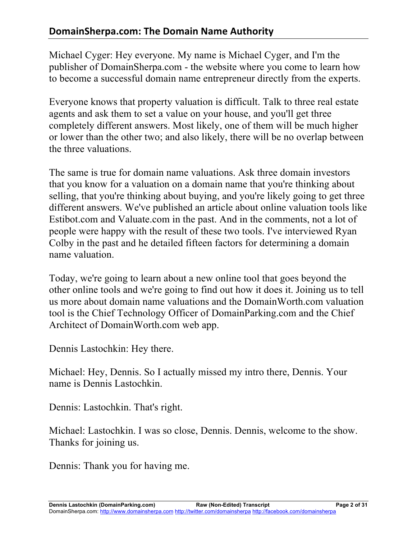Michael Cyger: Hey everyone. My name is Michael Cyger, and I'm the publisher of DomainSherpa.com - the website where you come to learn how to become a successful domain name entrepreneur directly from the experts.

Everyone knows that property valuation is difficult. Talk to three real estate agents and ask them to set a value on your house, and you'll get three completely different answers. Most likely, one of them will be much higher or lower than the other two; and also likely, there will be no overlap between the three valuations.

The same is true for domain name valuations. Ask three domain investors that you know for a valuation on a domain name that you're thinking about selling, that you're thinking about buying, and you're likely going to get three different answers. We've published an article about online valuation tools like Estibot.com and Valuate.com in the past. And in the comments, not a lot of people were happy with the result of these two tools. I've interviewed Ryan Colby in the past and he detailed fifteen factors for determining a domain name valuation.

Today, we're going to learn about a new online tool that goes beyond the other online tools and we're going to find out how it does it. Joining us to tell us more about domain name valuations and the DomainWorth.com valuation tool is the Chief Technology Officer of DomainParking.com and the Chief Architect of DomainWorth.com web app.

Dennis Lastochkin: Hey there.

Michael: Hey, Dennis. So I actually missed my intro there, Dennis. Your name is Dennis Lastochkin.

Dennis: Lastochkin. That's right.

Michael: Lastochkin. I was so close, Dennis. Dennis, welcome to the show. Thanks for joining us.

Dennis: Thank you for having me.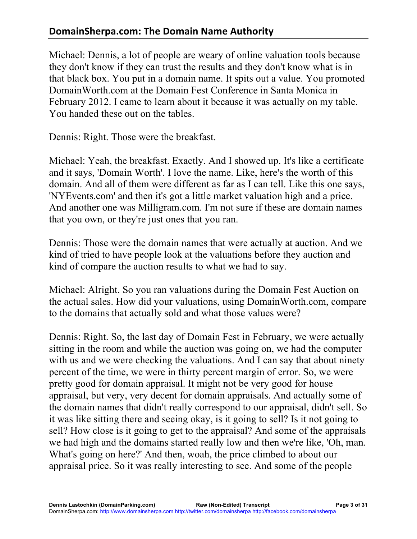## **DomainSherpa.com: The Domain Name Authority**

Michael: Dennis, a lot of people are weary of online valuation tools because they don't know if they can trust the results and they don't know what is in that black box. You put in a domain name. It spits out a value. You promoted DomainWorth.com at the Domain Fest Conference in Santa Monica in February 2012. I came to learn about it because it was actually on my table. You handed these out on the tables.

Dennis: Right. Those were the breakfast.

Michael: Yeah, the breakfast. Exactly. And I showed up. It's like a certificate and it says, 'Domain Worth'. I love the name. Like, here's the worth of this domain. And all of them were different as far as I can tell. Like this one says, 'NYEvents.com' and then it's got a little market valuation high and a price. And another one was Milligram.com. I'm not sure if these are domain names that you own, or they're just ones that you ran.

Dennis: Those were the domain names that were actually at auction. And we kind of tried to have people look at the valuations before they auction and kind of compare the auction results to what we had to say.

Michael: Alright. So you ran valuations during the Domain Fest Auction on the actual sales. How did your valuations, using DomainWorth.com, compare to the domains that actually sold and what those values were?

Dennis: Right. So, the last day of Domain Fest in February, we were actually sitting in the room and while the auction was going on, we had the computer with us and we were checking the valuations. And I can say that about ninety percent of the time, we were in thirty percent margin of error. So, we were pretty good for domain appraisal. It might not be very good for house appraisal, but very, very decent for domain appraisals. And actually some of the domain names that didn't really correspond to our appraisal, didn't sell. So it was like sitting there and seeing okay, is it going to sell? Is it not going to sell? How close is it going to get to the appraisal? And some of the appraisals we had high and the domains started really low and then we're like, 'Oh, man. What's going on here?' And then, woah, the price climbed to about our appraisal price. So it was really interesting to see. And some of the people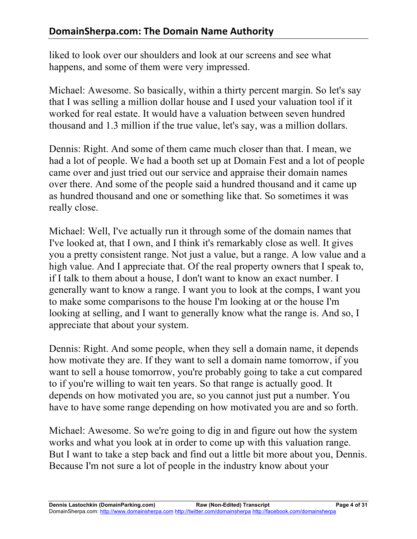liked to look over our shoulders and look at our screens and see what happens, and some of them were very impressed.

Michael: Awesome. So basically, within a thirty percent margin. So let's say that I was selling a million dollar house and I used your valuation tool if it worked for real estate. It would have a valuation between seven hundred thousand and 1.3 million if the true value, let's say, was a million dollars.

Dennis: Right. And some of them came much closer than that. I mean, we had a lot of people. We had a booth set up at Domain Fest and a lot of people came over and just tried out our service and appraise their domain names over there. And some of the people said a hundred thousand and it came up as hundred thousand and one or something like that. So sometimes it was really close.

Michael: Well, I've actually run it through some of the domain names that I've looked at, that I own, and I think it's remarkably close as well. It gives you a pretty consistent range. Not just a value, but a range. A low value and a high value. And I appreciate that. Of the real property owners that I speak to, if I talk to them about a house, I don't want to know an exact number. I generally want to know a range. I want you to look at the comps, I want you to make some comparisons to the house I'm looking at or the house I'm looking at selling, and I want to generally know what the range is. And so, I appreciate that about your system.

Dennis: Right. And some people, when they sell a domain name, it depends how motivate they are. If they want to sell a domain name tomorrow, if you want to sell a house tomorrow, you're probably going to take a cut compared to if you're willing to wait ten years. So that range is actually good. It depends on how motivated you are, so you cannot just put a number. You have to have some range depending on how motivated you are and so forth.

Michael: Awesome. So we're going to dig in and figure out how the system works and what you look at in order to come up with this valuation range. But I want to take a step back and find out a little bit more about you, Dennis. Because I'm not sure a lot of people in the industry know about your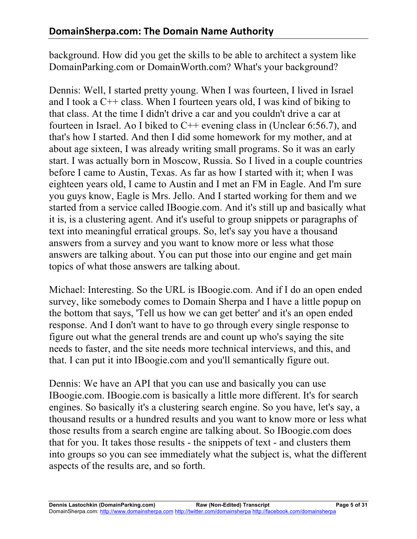background. How did you get the skills to be able to architect a system like DomainParking.com or DomainWorth.com? What's your background?

Dennis: Well, I started pretty young. When I was fourteen, I lived in Israel and I took a C++ class. When I fourteen years old, I was kind of biking to that class. At the time I didn't drive a car and you couldn't drive a car at fourteen in Israel. Ao I biked to C++ evening class in (Unclear 6:56.7), and that's how I started. And then I did some homework for my mother, and at about age sixteen, I was already writing small programs. So it was an early start. I was actually born in Moscow, Russia. So I lived in a couple countries before I came to Austin, Texas. As far as how I started with it; when I was eighteen years old, I came to Austin and I met an FM in Eagle. And I'm sure you guys know, Eagle is Mrs. Jello. And I started working for them and we started from a service called IBoogie.com. And it's still up and basically what it is, is a clustering agent. And it's useful to group snippets or paragraphs of text into meaningful erratical groups. So, let's say you have a thousand answers from a survey and you want to know more or less what those answers are talking about. You can put those into our engine and get main topics of what those answers are talking about.

Michael: Interesting. So the URL is IBoogie.com. And if I do an open ended survey, like somebody comes to Domain Sherpa and I have a little popup on the bottom that says, 'Tell us how we can get better' and it's an open ended response. And I don't want to have to go through every single response to figure out what the general trends are and count up who's saying the site needs to faster, and the site needs more technical interviews, and this, and that. I can put it into IBoogie.com and you'll semantically figure out.

Dennis: We have an API that you can use and basically you can use IBoogie.com. IBoogie.com is basically a little more different. It's for search engines. So basically it's a clustering search engine. So you have, let's say, a thousand results or a hundred results and you want to know more or less what those results from a search engine are talking about. So IBoogie.com does that for you. It takes those results - the snippets of text - and clusters them into groups so you can see immediately what the subject is, what the different aspects of the results are, and so forth.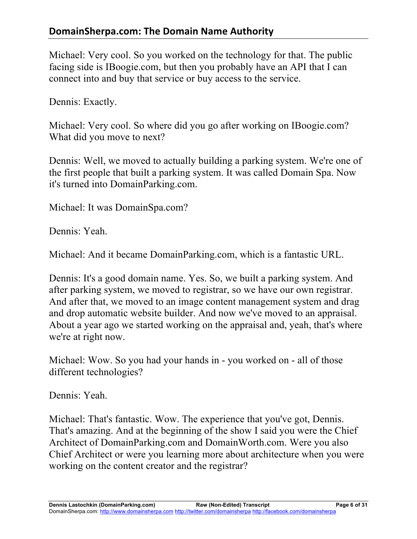### **DomainSherpa.com: The Domain Name Authority**

Michael: Very cool. So you worked on the technology for that. The public facing side is IBoogie.com, but then you probably have an API that I can connect into and buy that service or buy access to the service.

Dennis: Exactly.

Michael: Very cool. So where did you go after working on IBoogie.com? What did you move to next?

Dennis: Well, we moved to actually building a parking system. We're one of the first people that built a parking system. It was called Domain Spa. Now it's turned into DomainParking.com.

Michael: It was DomainSpa.com?

Dennis: Yeah.

Michael: And it became DomainParking.com, which is a fantastic URL.

Dennis: It's a good domain name. Yes. So, we built a parking system. And after parking system, we moved to registrar, so we have our own registrar. And after that, we moved to an image content management system and drag and drop automatic website builder. And now we've moved to an appraisal. About a year ago we started working on the appraisal and, yeah, that's where we're at right now.

Michael: Wow. So you had your hands in - you worked on - all of those different technologies?

Dennis: Yeah.

Michael: That's fantastic. Wow. The experience that you've got, Dennis. That's amazing. And at the beginning of the show I said you were the Chief Architect of DomainParking.com and DomainWorth.com. Were you also Chief Architect or were you learning more about architecture when you were working on the content creator and the registrar?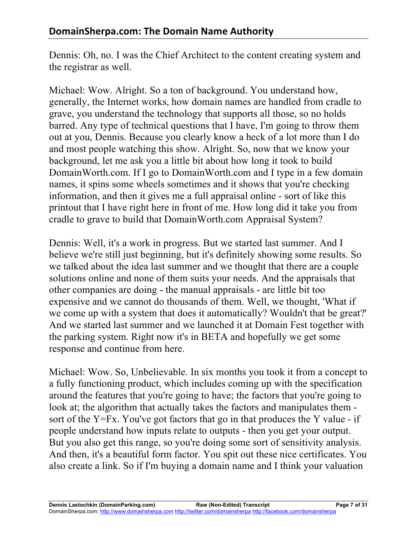Dennis: Oh, no. I was the Chief Architect to the content creating system and the registrar as well.

Michael: Wow. Alright. So a ton of background. You understand how, generally, the Internet works, how domain names are handled from cradle to grave, you understand the technology that supports all those, so no holds barred. Any type of technical questions that I have, I'm going to throw them out at you, Dennis. Because you clearly know a heck of a lot more than I do and most people watching this show. Alright. So, now that we know your background, let me ask you a little bit about how long it took to build DomainWorth.com. If I go to DomainWorth.com and I type in a few domain names, it spins some wheels sometimes and it shows that you're checking information, and then it gives me a full appraisal online - sort of like this printout that I have right here in front of me. How long did it take you from cradle to grave to build that DomainWorth.com Appraisal System?

Dennis: Well, it's a work in progress. But we started last summer. And I believe we're still just beginning, but it's definitely showing some results. So we talked about the idea last summer and we thought that there are a couple solutions online and none of them suits your needs. And the appraisals that other companies are doing - the manual appraisals - are little bit too expensive and we cannot do thousands of them. Well, we thought, 'What if we come up with a system that does it automatically? Wouldn't that be great?' And we started last summer and we launched it at Domain Fest together with the parking system. Right now it's in BETA and hopefully we get some response and continue from here.

Michael: Wow. So, Unbelievable. In six months you took it from a concept to a fully functioning product, which includes coming up with the specification around the features that you're going to have; the factors that you're going to look at; the algorithm that actually takes the factors and manipulates them sort of the Y=Fx. You've got factors that go in that produces the Y value - if people understand how inputs relate to outputs - then you get your output. But you also get this range, so you're doing some sort of sensitivity analysis. And then, it's a beautiful form factor. You spit out these nice certificates. You also create a link. So if I'm buying a domain name and I think your valuation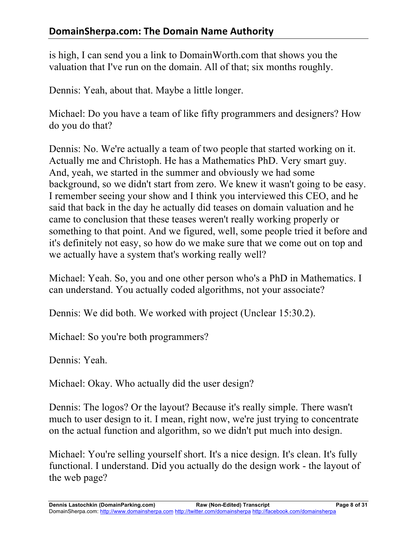is high, I can send you a link to DomainWorth.com that shows you the valuation that I've run on the domain. All of that; six months roughly.

Dennis: Yeah, about that. Maybe a little longer.

Michael: Do you have a team of like fifty programmers and designers? How do you do that?

Dennis: No. We're actually a team of two people that started working on it. Actually me and Christoph. He has a Mathematics PhD. Very smart guy. And, yeah, we started in the summer and obviously we had some background, so we didn't start from zero. We knew it wasn't going to be easy. I remember seeing your show and I think you interviewed this CEO, and he said that back in the day he actually did teases on domain valuation and he came to conclusion that these teases weren't really working properly or something to that point. And we figured, well, some people tried it before and it's definitely not easy, so how do we make sure that we come out on top and we actually have a system that's working really well?

Michael: Yeah. So, you and one other person who's a PhD in Mathematics. I can understand. You actually coded algorithms, not your associate?

Dennis: We did both. We worked with project (Unclear 15:30.2).

Michael: So you're both programmers?

Dennis: Yeah.

Michael: Okay. Who actually did the user design?

Dennis: The logos? Or the layout? Because it's really simple. There wasn't much to user design to it. I mean, right now, we're just trying to concentrate on the actual function and algorithm, so we didn't put much into design.

Michael: You're selling yourself short. It's a nice design. It's clean. It's fully functional. I understand. Did you actually do the design work - the layout of the web page?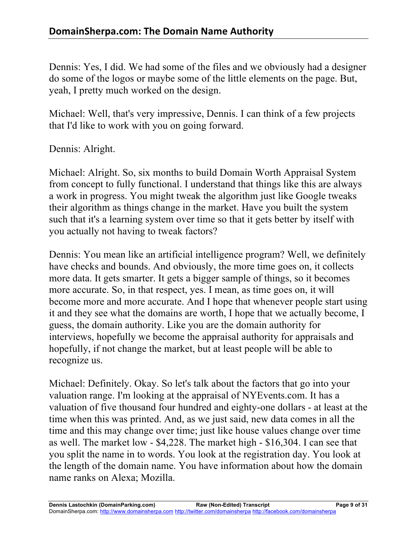Dennis: Yes, I did. We had some of the files and we obviously had a designer do some of the logos or maybe some of the little elements on the page. But, yeah, I pretty much worked on the design.

Michael: Well, that's very impressive, Dennis. I can think of a few projects that I'd like to work with you on going forward.

Dennis: Alright.

Michael: Alright. So, six months to build Domain Worth Appraisal System from concept to fully functional. I understand that things like this are always a work in progress. You might tweak the algorithm just like Google tweaks their algorithm as things change in the market. Have you built the system such that it's a learning system over time so that it gets better by itself with you actually not having to tweak factors?

Dennis: You mean like an artificial intelligence program? Well, we definitely have checks and bounds. And obviously, the more time goes on, it collects more data. It gets smarter. It gets a bigger sample of things, so it becomes more accurate. So, in that respect, yes. I mean, as time goes on, it will become more and more accurate. And I hope that whenever people start using it and they see what the domains are worth, I hope that we actually become, I guess, the domain authority. Like you are the domain authority for interviews, hopefully we become the appraisal authority for appraisals and hopefully, if not change the market, but at least people will be able to recognize us.

Michael: Definitely. Okay. So let's talk about the factors that go into your valuation range. I'm looking at the appraisal of NYEvents.com. It has a valuation of five thousand four hundred and eighty-one dollars - at least at the time when this was printed. And, as we just said, new data comes in all the time and this may change over time; just like house values change over time as well. The market low - \$4,228. The market high - \$16,304. I can see that you split the name in to words. You look at the registration day. You look at the length of the domain name. You have information about how the domain name ranks on Alexa; Mozilla.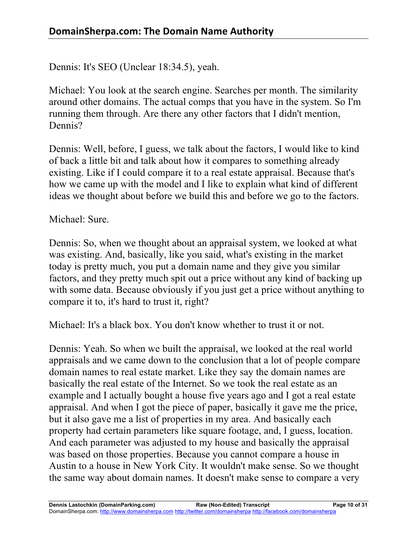Dennis: It's SEO (Unclear 18:34.5), yeah.

Michael: You look at the search engine. Searches per month. The similarity around other domains. The actual comps that you have in the system. So I'm running them through. Are there any other factors that I didn't mention, Dennis?

Dennis: Well, before, I guess, we talk about the factors, I would like to kind of back a little bit and talk about how it compares to something already existing. Like if I could compare it to a real estate appraisal. Because that's how we came up with the model and I like to explain what kind of different ideas we thought about before we build this and before we go to the factors.

Michael: Sure.

Dennis: So, when we thought about an appraisal system, we looked at what was existing. And, basically, like you said, what's existing in the market today is pretty much, you put a domain name and they give you similar factors, and they pretty much spit out a price without any kind of backing up with some data. Because obviously if you just get a price without anything to compare it to, it's hard to trust it, right?

Michael: It's a black box. You don't know whether to trust it or not.

Dennis: Yeah. So when we built the appraisal, we looked at the real world appraisals and we came down to the conclusion that a lot of people compare domain names to real estate market. Like they say the domain names are basically the real estate of the Internet. So we took the real estate as an example and I actually bought a house five years ago and I got a real estate appraisal. And when I got the piece of paper, basically it gave me the price, but it also gave me a list of properties in my area. And basically each property had certain parameters like square footage, and, I guess, location. And each parameter was adjusted to my house and basically the appraisal was based on those properties. Because you cannot compare a house in Austin to a house in New York City. It wouldn't make sense. So we thought the same way about domain names. It doesn't make sense to compare a very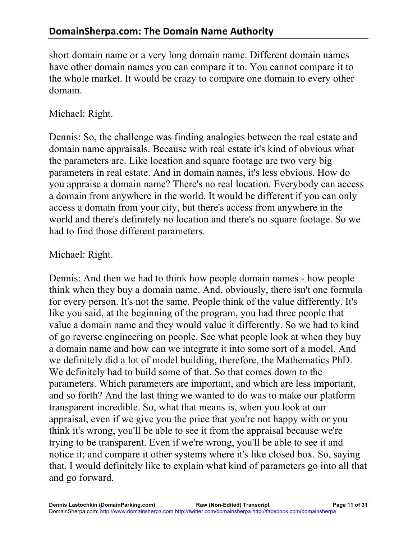short domain name or a very long domain name. Different domain names have other domain names you can compare it to. You cannot compare it to the whole market. It would be crazy to compare one domain to every other domain.

### Michael: Right.

Dennis: So, the challenge was finding analogies between the real estate and domain name appraisals. Because with real estate it's kind of obvious what the parameters are. Like location and square footage are two very big parameters in real estate. And in domain names, it's less obvious. How do you appraise a domain name? There's no real location. Everybody can access a domain from anywhere in the world. It would be different if you can only access a domain from your city, but there's access from anywhere in the world and there's definitely no location and there's no square footage. So we had to find those different parameters.

### Michael: Right.

Dennis: And then we had to think how people domain names - how people think when they buy a domain name. And, obviously, there isn't one formula for every person. It's not the same. People think of the value differently. It's like you said, at the beginning of the program, you had three people that value a domain name and they would value it differently. So we had to kind of go reverse engineering on people. See what people look at when they buy a domain name and how can we integrate it into some sort of a model. And we definitely did a lot of model building, therefore, the Mathematics PhD. We definitely had to build some of that. So that comes down to the parameters. Which parameters are important, and which are less important, and so forth? And the last thing we wanted to do was to make our platform transparent incredible. So, what that means is, when you look at our appraisal, even if we give you the price that you're not happy with or you think it's wrong, you'll be able to see it from the appraisal because we're trying to be transparent. Even if we're wrong, you'll be able to see it and notice it; and compare it other systems where it's like closed box. So, saying that, I would definitely like to explain what kind of parameters go into all that and go forward.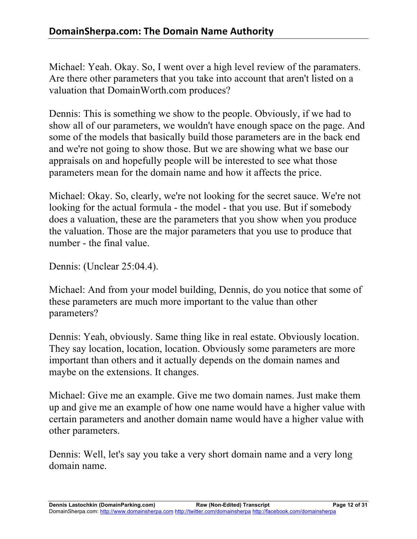Michael: Yeah. Okay. So, I went over a high level review of the paramaters. Are there other parameters that you take into account that aren't listed on a valuation that DomainWorth.com produces?

Dennis: This is something we show to the people. Obviously, if we had to show all of our parameters, we wouldn't have enough space on the page. And some of the models that basically build those parameters are in the back end and we're not going to show those. But we are showing what we base our appraisals on and hopefully people will be interested to see what those parameters mean for the domain name and how it affects the price.

Michael: Okay. So, clearly, we're not looking for the secret sauce. We're not looking for the actual formula - the model - that you use. But if somebody does a valuation, these are the parameters that you show when you produce the valuation. Those are the major parameters that you use to produce that number - the final value.

Dennis: (Unclear 25:04.4).

Michael: And from your model building, Dennis, do you notice that some of these parameters are much more important to the value than other parameters?

Dennis: Yeah, obviously. Same thing like in real estate. Obviously location. They say location, location, location. Obviously some parameters are more important than others and it actually depends on the domain names and maybe on the extensions. It changes.

Michael: Give me an example. Give me two domain names. Just make them up and give me an example of how one name would have a higher value with certain parameters and another domain name would have a higher value with other parameters.

Dennis: Well, let's say you take a very short domain name and a very long domain name.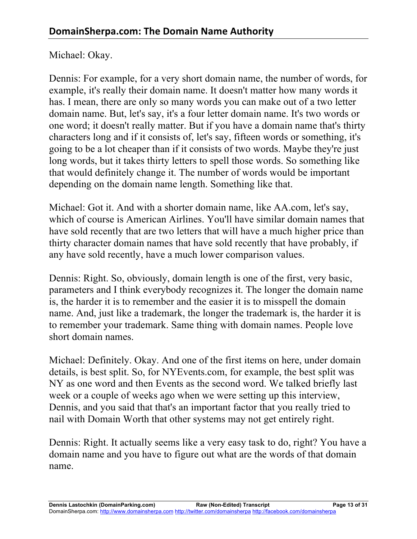#### Michael: Okay.

Dennis: For example, for a very short domain name, the number of words, for example, it's really their domain name. It doesn't matter how many words it has. I mean, there are only so many words you can make out of a two letter domain name. But, let's say, it's a four letter domain name. It's two words or one word; it doesn't really matter. But if you have a domain name that's thirty characters long and if it consists of, let's say, fifteen words or something, it's going to be a lot cheaper than if it consists of two words. Maybe they're just long words, but it takes thirty letters to spell those words. So something like that would definitely change it. The number of words would be important depending on the domain name length. Something like that.

Michael: Got it. And with a shorter domain name, like AA.com, let's say, which of course is American Airlines. You'll have similar domain names that have sold recently that are two letters that will have a much higher price than thirty character domain names that have sold recently that have probably, if any have sold recently, have a much lower comparison values.

Dennis: Right. So, obviously, domain length is one of the first, very basic, parameters and I think everybody recognizes it. The longer the domain name is, the harder it is to remember and the easier it is to misspell the domain name. And, just like a trademark, the longer the trademark is, the harder it is to remember your trademark. Same thing with domain names. People love short domain names.

Michael: Definitely. Okay. And one of the first items on here, under domain details, is best split. So, for NYEvents.com, for example, the best split was NY as one word and then Events as the second word. We talked briefly last week or a couple of weeks ago when we were setting up this interview, Dennis, and you said that that's an important factor that you really tried to nail with Domain Worth that other systems may not get entirely right.

Dennis: Right. It actually seems like a very easy task to do, right? You have a domain name and you have to figure out what are the words of that domain name.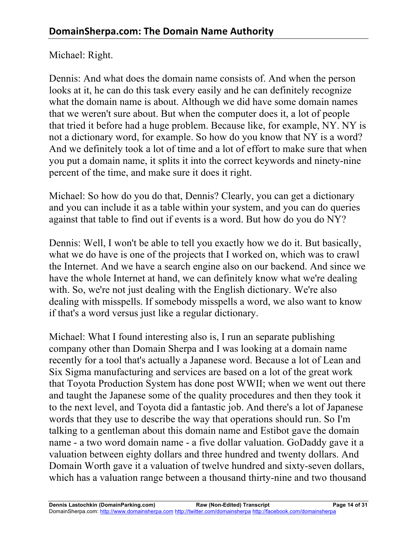### Michael: Right.

Dennis: And what does the domain name consists of. And when the person looks at it, he can do this task every easily and he can definitely recognize what the domain name is about. Although we did have some domain names that we weren't sure about. But when the computer does it, a lot of people that tried it before had a huge problem. Because like, for example, NY. NY is not a dictionary word, for example. So how do you know that NY is a word? And we definitely took a lot of time and a lot of effort to make sure that when you put a domain name, it splits it into the correct keywords and ninety-nine percent of the time, and make sure it does it right.

Michael: So how do you do that, Dennis? Clearly, you can get a dictionary and you can include it as a table within your system, and you can do queries against that table to find out if events is a word. But how do you do NY?

Dennis: Well, I won't be able to tell you exactly how we do it. But basically, what we do have is one of the projects that I worked on, which was to crawl the Internet. And we have a search engine also on our backend. And since we have the whole Internet at hand, we can definitely know what we're dealing with. So, we're not just dealing with the English dictionary. We're also dealing with misspells. If somebody misspells a word, we also want to know if that's a word versus just like a regular dictionary.

Michael: What I found interesting also is, I run an separate publishing company other than Domain Sherpa and I was looking at a domain name recently for a tool that's actually a Japanese word. Because a lot of Lean and Six Sigma manufacturing and services are based on a lot of the great work that Toyota Production System has done post WWII; when we went out there and taught the Japanese some of the quality procedures and then they took it to the next level, and Toyota did a fantastic job. And there's a lot of Japanese words that they use to describe the way that operations should run. So I'm talking to a gentleman about this domain name and Estibot gave the domain name - a two word domain name - a five dollar valuation. GoDaddy gave it a valuation between eighty dollars and three hundred and twenty dollars. And Domain Worth gave it a valuation of twelve hundred and sixty-seven dollars, which has a valuation range between a thousand thirty-nine and two thousand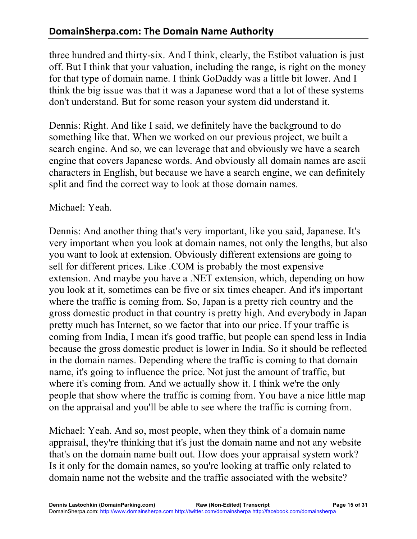three hundred and thirty-six. And I think, clearly, the Estibot valuation is just off. But I think that your valuation, including the range, is right on the money for that type of domain name. I think GoDaddy was a little bit lower. And I think the big issue was that it was a Japanese word that a lot of these systems don't understand. But for some reason your system did understand it.

Dennis: Right. And like I said, we definitely have the background to do something like that. When we worked on our previous project, we built a search engine. And so, we can leverage that and obviously we have a search engine that covers Japanese words. And obviously all domain names are ascii characters in English, but because we have a search engine, we can definitely split and find the correct way to look at those domain names.

### Michael: Yeah.

Dennis: And another thing that's very important, like you said, Japanese. It's very important when you look at domain names, not only the lengths, but also you want to look at extension. Obviously different extensions are going to sell for different prices. Like .COM is probably the most expensive extension. And maybe you have a .NET extension, which, depending on how you look at it, sometimes can be five or six times cheaper. And it's important where the traffic is coming from. So, Japan is a pretty rich country and the gross domestic product in that country is pretty high. And everybody in Japan pretty much has Internet, so we factor that into our price. If your traffic is coming from India, I mean it's good traffic, but people can spend less in India because the gross domestic product is lower in India. So it should be reflected in the domain names. Depending where the traffic is coming to that domain name, it's going to influence the price. Not just the amount of traffic, but where it's coming from. And we actually show it. I think we're the only people that show where the traffic is coming from. You have a nice little map on the appraisal and you'll be able to see where the traffic is coming from.

Michael: Yeah. And so, most people, when they think of a domain name appraisal, they're thinking that it's just the domain name and not any website that's on the domain name built out. How does your appraisal system work? Is it only for the domain names, so you're looking at traffic only related to domain name not the website and the traffic associated with the website?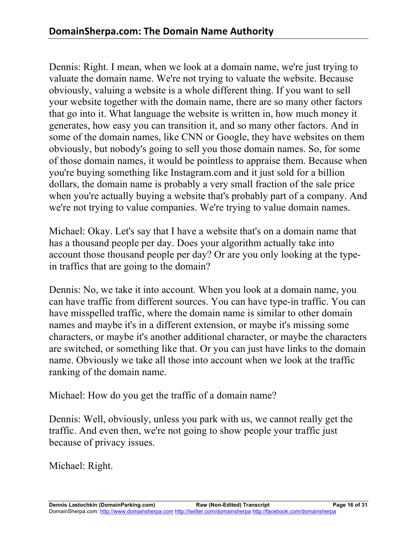Dennis: Right. I mean, when we look at a domain name, we're just trying to valuate the domain name. We're not trying to valuate the website. Because obviously, valuing a website is a whole different thing. If you want to sell your website together with the domain name, there are so many other factors that go into it. What language the website is written in, how much money it generates, how easy you can transition it, and so many other factors. And in some of the domain names, like CNN or Google, they have websites on them obviously, but nobody's going to sell you those domain names. So, for some of those domain names, it would be pointless to appraise them. Because when you're buying something like Instagram.com and it just sold for a billion dollars, the domain name is probably a very small fraction of the sale price when you're actually buying a website that's probably part of a company. And we're not trying to value companies. We're trying to value domain names.

Michael: Okay. Let's say that I have a website that's on a domain name that has a thousand people per day. Does your algorithm actually take into account those thousand people per day? Or are you only looking at the typein traffics that are going to the domain?

Dennis: No, we take it into account. When you look at a domain name, you can have traffic from different sources. You can have type-in traffic. You can have misspelled traffic, where the domain name is similar to other domain names and maybe it's in a different extension, or maybe it's missing some characters, or maybe it's another additional character, or maybe the characters are switched, or something like that. Or you can just have links to the domain name. Obviously we take all those into account when we look at the traffic ranking of the domain name.

Michael: How do you get the traffic of a domain name?

Dennis: Well, obviously, unless you park with us, we cannot really get the traffic. And even then, we're not going to show people your traffic just because of privacy issues.

Michael: Right.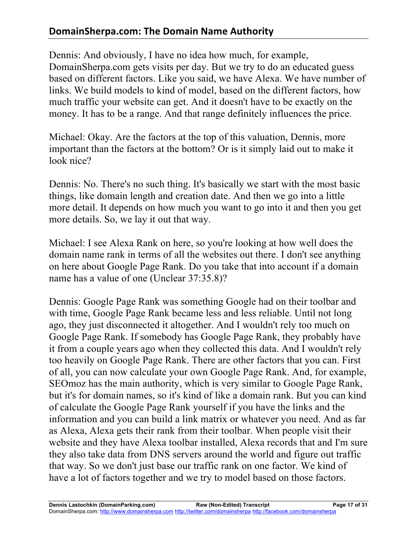## **DomainSherpa.com: The Domain Name Authority**

Dennis: And obviously, I have no idea how much, for example, DomainSherpa.com gets visits per day. But we try to do an educated guess based on different factors. Like you said, we have Alexa. We have number of links. We build models to kind of model, based on the different factors, how much traffic your website can get. And it doesn't have to be exactly on the money. It has to be a range. And that range definitely influences the price.

Michael: Okay. Are the factors at the top of this valuation, Dennis, more important than the factors at the bottom? Or is it simply laid out to make it look nice?

Dennis: No. There's no such thing. It's basically we start with the most basic things, like domain length and creation date. And then we go into a little more detail. It depends on how much you want to go into it and then you get more details. So, we lay it out that way.

Michael: I see Alexa Rank on here, so you're looking at how well does the domain name rank in terms of all the websites out there. I don't see anything on here about Google Page Rank. Do you take that into account if a domain name has a value of one (Unclear 37:35.8)?

Dennis: Google Page Rank was something Google had on their toolbar and with time, Google Page Rank became less and less reliable. Until not long ago, they just disconnected it altogether. And I wouldn't rely too much on Google Page Rank. If somebody has Google Page Rank, they probably have it from a couple years ago when they collected this data. And I wouldn't rely too heavily on Google Page Rank. There are other factors that you can. First of all, you can now calculate your own Google Page Rank. And, for example, SEOmoz has the main authority, which is very similar to Google Page Rank, but it's for domain names, so it's kind of like a domain rank. But you can kind of calculate the Google Page Rank yourself if you have the links and the information and you can build a link matrix or whatever you need. And as far as Alexa, Alexa gets their rank from their toolbar. When people visit their website and they have Alexa toolbar installed, Alexa records that and I'm sure they also take data from DNS servers around the world and figure out traffic that way. So we don't just base our traffic rank on one factor. We kind of have a lot of factors together and we try to model based on those factors.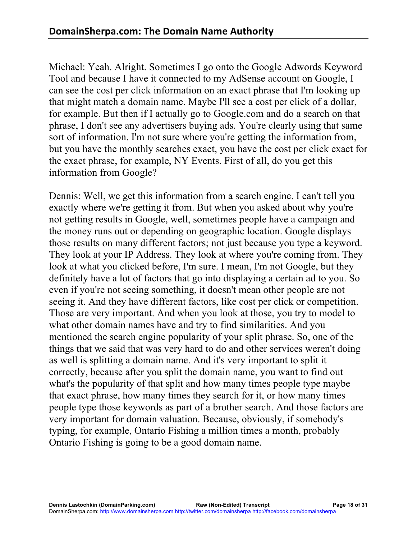Michael: Yeah. Alright. Sometimes I go onto the Google Adwords Keyword Tool and because I have it connected to my AdSense account on Google, I can see the cost per click information on an exact phrase that I'm looking up that might match a domain name. Maybe I'll see a cost per click of a dollar, for example. But then if I actually go to Google.com and do a search on that phrase, I don't see any advertisers buying ads. You're clearly using that same sort of information. I'm not sure where you're getting the information from, but you have the monthly searches exact, you have the cost per click exact for the exact phrase, for example, NY Events. First of all, do you get this information from Google?

Dennis: Well, we get this information from a search engine. I can't tell you exactly where we're getting it from. But when you asked about why you're not getting results in Google, well, sometimes people have a campaign and the money runs out or depending on geographic location. Google displays those results on many different factors; not just because you type a keyword. They look at your IP Address. They look at where you're coming from. They look at what you clicked before, I'm sure. I mean, I'm not Google, but they definitely have a lot of factors that go into displaying a certain ad to you. So even if you're not seeing something, it doesn't mean other people are not seeing it. And they have different factors, like cost per click or competition. Those are very important. And when you look at those, you try to model to what other domain names have and try to find similarities. And you mentioned the search engine popularity of your split phrase. So, one of the things that we said that was very hard to do and other services weren't doing as well is splitting a domain name. And it's very important to split it correctly, because after you split the domain name, you want to find out what's the popularity of that split and how many times people type maybe that exact phrase, how many times they search for it, or how many times people type those keywords as part of a brother search. And those factors are very important for domain valuation. Because, obviously, if somebody's typing, for example, Ontario Fishing a million times a month, probably Ontario Fishing is going to be a good domain name.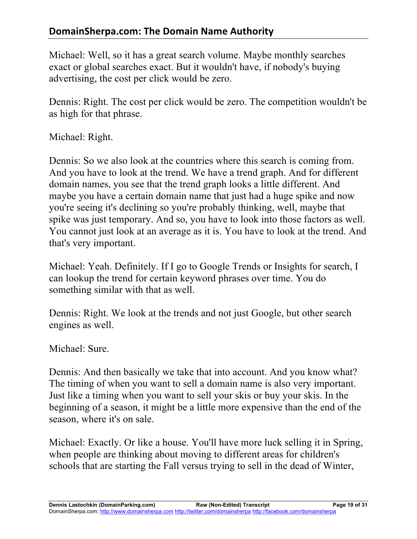Michael: Well, so it has a great search volume. Maybe monthly searches exact or global searches exact. But it wouldn't have, if nobody's buying advertising, the cost per click would be zero.

Dennis: Right. The cost per click would be zero. The competition wouldn't be as high for that phrase.

Michael: Right.

Dennis: So we also look at the countries where this search is coming from. And you have to look at the trend. We have a trend graph. And for different domain names, you see that the trend graph looks a little different. And maybe you have a certain domain name that just had a huge spike and now you're seeing it's declining so you're probably thinking, well, maybe that spike was just temporary. And so, you have to look into those factors as well. You cannot just look at an average as it is. You have to look at the trend. And that's very important.

Michael: Yeah. Definitely. If I go to Google Trends or Insights for search, I can lookup the trend for certain keyword phrases over time. You do something similar with that as well.

Dennis: Right. We look at the trends and not just Google, but other search engines as well.

Michael: Sure.

Dennis: And then basically we take that into account. And you know what? The timing of when you want to sell a domain name is also very important. Just like a timing when you want to sell your skis or buy your skis. In the beginning of a season, it might be a little more expensive than the end of the season, where it's on sale.

Michael: Exactly. Or like a house. You'll have more luck selling it in Spring, when people are thinking about moving to different areas for children's schools that are starting the Fall versus trying to sell in the dead of Winter,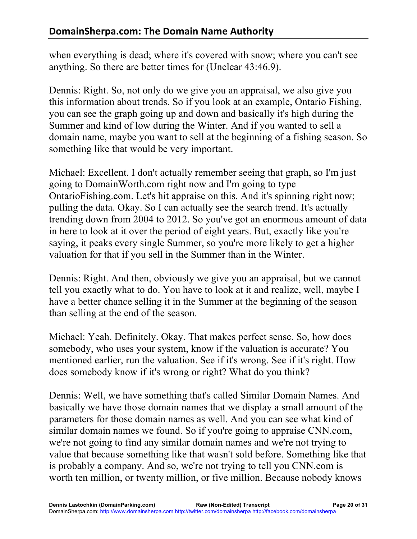when everything is dead; where it's covered with snow; where you can't see anything. So there are better times for (Unclear 43:46.9).

Dennis: Right. So, not only do we give you an appraisal, we also give you this information about trends. So if you look at an example, Ontario Fishing, you can see the graph going up and down and basically it's high during the Summer and kind of low during the Winter. And if you wanted to sell a domain name, maybe you want to sell at the beginning of a fishing season. So something like that would be very important.

Michael: Excellent. I don't actually remember seeing that graph, so I'm just going to DomainWorth.com right now and I'm going to type OntarioFishing.com. Let's hit appraise on this. And it's spinning right now; pulling the data. Okay. So I can actually see the search trend. It's actually trending down from 2004 to 2012. So you've got an enormous amount of data in here to look at it over the period of eight years. But, exactly like you're saying, it peaks every single Summer, so you're more likely to get a higher valuation for that if you sell in the Summer than in the Winter.

Dennis: Right. And then, obviously we give you an appraisal, but we cannot tell you exactly what to do. You have to look at it and realize, well, maybe I have a better chance selling it in the Summer at the beginning of the season than selling at the end of the season.

Michael: Yeah. Definitely. Okay. That makes perfect sense. So, how does somebody, who uses your system, know if the valuation is accurate? You mentioned earlier, run the valuation. See if it's wrong. See if it's right. How does somebody know if it's wrong or right? What do you think?

Dennis: Well, we have something that's called Similar Domain Names. And basically we have those domain names that we display a small amount of the parameters for those domain names as well. And you can see what kind of similar domain names we found. So if you're going to appraise CNN.com, we're not going to find any similar domain names and we're not trying to value that because something like that wasn't sold before. Something like that is probably a company. And so, we're not trying to tell you CNN.com is worth ten million, or twenty million, or five million. Because nobody knows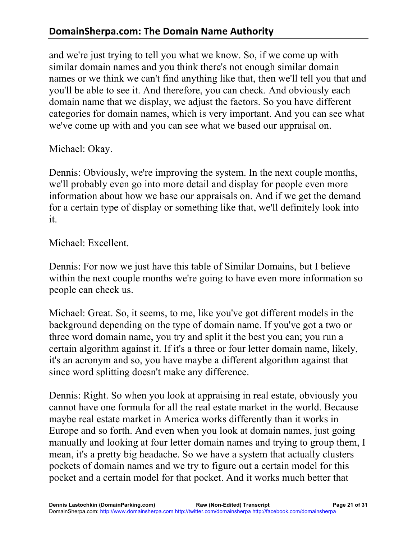and we're just trying to tell you what we know. So, if we come up with similar domain names and you think there's not enough similar domain names or we think we can't find anything like that, then we'll tell you that and you'll be able to see it. And therefore, you can check. And obviously each domain name that we display, we adjust the factors. So you have different categories for domain names, which is very important. And you can see what we've come up with and you can see what we based our appraisal on.

Michael: Okay.

Dennis: Obviously, we're improving the system. In the next couple months, we'll probably even go into more detail and display for people even more information about how we base our appraisals on. And if we get the demand for a certain type of display or something like that, we'll definitely look into it.

Michael: Excellent.

Dennis: For now we just have this table of Similar Domains, but I believe within the next couple months we're going to have even more information so people can check us.

Michael: Great. So, it seems, to me, like you've got different models in the background depending on the type of domain name. If you've got a two or three word domain name, you try and split it the best you can; you run a certain algorithm against it. If it's a three or four letter domain name, likely, it's an acronym and so, you have maybe a different algorithm against that since word splitting doesn't make any difference.

Dennis: Right. So when you look at appraising in real estate, obviously you cannot have one formula for all the real estate market in the world. Because maybe real estate market in America works differently than it works in Europe and so forth. And even when you look at domain names, just going manually and looking at four letter domain names and trying to group them, I mean, it's a pretty big headache. So we have a system that actually clusters pockets of domain names and we try to figure out a certain model for this pocket and a certain model for that pocket. And it works much better that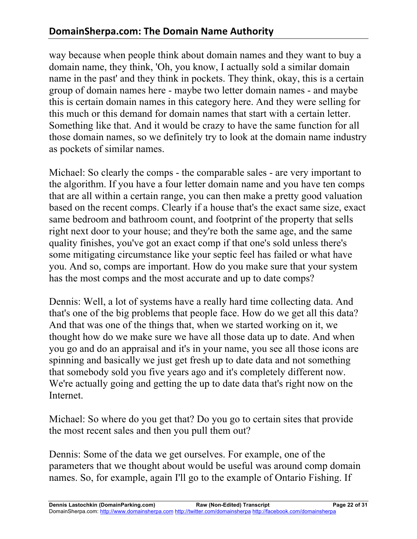way because when people think about domain names and they want to buy a domain name, they think, 'Oh, you know, I actually sold a similar domain name in the past' and they think in pockets. They think, okay, this is a certain group of domain names here - maybe two letter domain names - and maybe this is certain domain names in this category here. And they were selling for this much or this demand for domain names that start with a certain letter. Something like that. And it would be crazy to have the same function for all those domain names, so we definitely try to look at the domain name industry as pockets of similar names.

Michael: So clearly the comps - the comparable sales - are very important to the algorithm. If you have a four letter domain name and you have ten comps that are all within a certain range, you can then make a pretty good valuation based on the recent comps. Clearly if a house that's the exact same size, exact same bedroom and bathroom count, and footprint of the property that sells right next door to your house; and they're both the same age, and the same quality finishes, you've got an exact comp if that one's sold unless there's some mitigating circumstance like your septic feel has failed or what have you. And so, comps are important. How do you make sure that your system has the most comps and the most accurate and up to date comps?

Dennis: Well, a lot of systems have a really hard time collecting data. And that's one of the big problems that people face. How do we get all this data? And that was one of the things that, when we started working on it, we thought how do we make sure we have all those data up to date. And when you go and do an appraisal and it's in your name, you see all those icons are spinning and basically we just get fresh up to date data and not something that somebody sold you five years ago and it's completely different now. We're actually going and getting the up to date data that's right now on the Internet.

Michael: So where do you get that? Do you go to certain sites that provide the most recent sales and then you pull them out?

Dennis: Some of the data we get ourselves. For example, one of the parameters that we thought about would be useful was around comp domain names. So, for example, again I'll go to the example of Ontario Fishing. If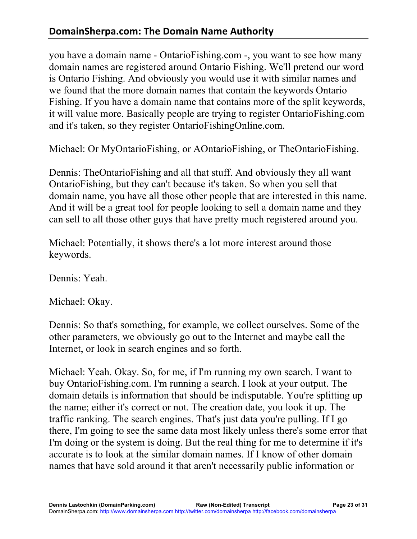you have a domain name - OntarioFishing.com -, you want to see how many domain names are registered around Ontario Fishing. We'll pretend our word is Ontario Fishing. And obviously you would use it with similar names and we found that the more domain names that contain the keywords Ontario Fishing. If you have a domain name that contains more of the split keywords, it will value more. Basically people are trying to register OntarioFishing.com and it's taken, so they register OntarioFishingOnline.com.

Michael: Or MyOntarioFishing, or AOntarioFishing, or TheOntarioFishing.

Dennis: TheOntarioFishing and all that stuff. And obviously they all want OntarioFishing, but they can't because it's taken. So when you sell that domain name, you have all those other people that are interested in this name. And it will be a great tool for people looking to sell a domain name and they can sell to all those other guys that have pretty much registered around you.

Michael: Potentially, it shows there's a lot more interest around those keywords.

Dennis: Yeah

Michael: Okay.

Dennis: So that's something, for example, we collect ourselves. Some of the other parameters, we obviously go out to the Internet and maybe call the Internet, or look in search engines and so forth.

Michael: Yeah. Okay. So, for me, if I'm running my own search. I want to buy OntarioFishing.com. I'm running a search. I look at your output. The domain details is information that should be indisputable. You're splitting up the name; either it's correct or not. The creation date, you look it up. The traffic ranking. The search engines. That's just data you're pulling. If I go there, I'm going to see the same data most likely unless there's some error that I'm doing or the system is doing. But the real thing for me to determine if it's accurate is to look at the similar domain names. If I know of other domain names that have sold around it that aren't necessarily public information or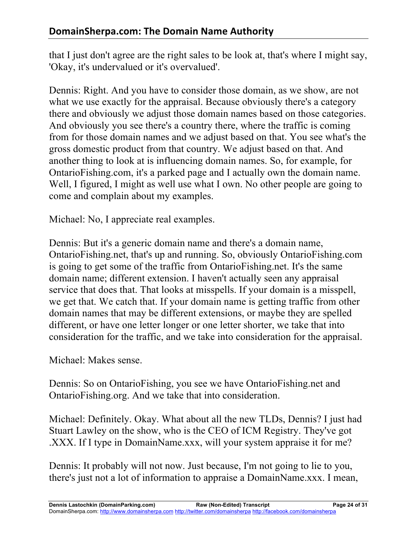that I just don't agree are the right sales to be look at, that's where I might say, 'Okay, it's undervalued or it's overvalued'.

Dennis: Right. And you have to consider those domain, as we show, are not what we use exactly for the appraisal. Because obviously there's a category there and obviously we adjust those domain names based on those categories. And obviously you see there's a country there, where the traffic is coming from for those domain names and we adjust based on that. You see what's the gross domestic product from that country. We adjust based on that. And another thing to look at is influencing domain names. So, for example, for OntarioFishing.com, it's a parked page and I actually own the domain name. Well, I figured, I might as well use what I own. No other people are going to come and complain about my examples.

Michael: No, I appreciate real examples.

Dennis: But it's a generic domain name and there's a domain name, OntarioFishing.net, that's up and running. So, obviously OntarioFishing.com is going to get some of the traffic from OntarioFishing.net. It's the same domain name; different extension. I haven't actually seen any appraisal service that does that. That looks at misspells. If your domain is a misspell, we get that. We catch that. If your domain name is getting traffic from other domain names that may be different extensions, or maybe they are spelled different, or have one letter longer or one letter shorter, we take that into consideration for the traffic, and we take into consideration for the appraisal.

Michael: Makes sense.

Dennis: So on OntarioFishing, you see we have OntarioFishing.net and OntarioFishing.org. And we take that into consideration.

Michael: Definitely. Okay. What about all the new TLDs, Dennis? I just had Stuart Lawley on the show, who is the CEO of ICM Registry. They've got .XXX. If I type in DomainName.xxx, will your system appraise it for me?

Dennis: It probably will not now. Just because, I'm not going to lie to you, there's just not a lot of information to appraise a DomainName.xxx. I mean,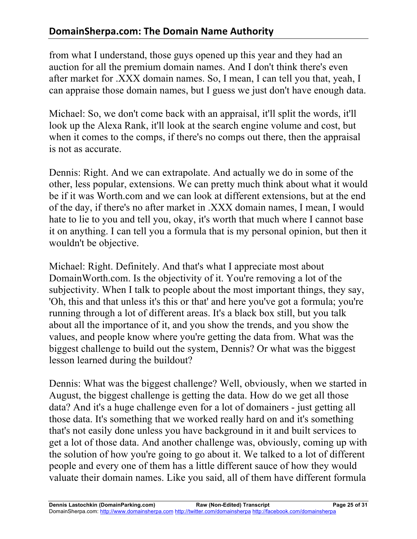from what I understand, those guys opened up this year and they had an auction for all the premium domain names. And I don't think there's even after market for .XXX domain names. So, I mean, I can tell you that, yeah, I can appraise those domain names, but I guess we just don't have enough data.

Michael: So, we don't come back with an appraisal, it'll split the words, it'll look up the Alexa Rank, it'll look at the search engine volume and cost, but when it comes to the comps, if there's no comps out there, then the appraisal is not as accurate.

Dennis: Right. And we can extrapolate. And actually we do in some of the other, less popular, extensions. We can pretty much think about what it would be if it was Worth.com and we can look at different extensions, but at the end of the day, if there's no after market in .XXX domain names, I mean, I would hate to lie to you and tell you, okay, it's worth that much where I cannot base it on anything. I can tell you a formula that is my personal opinion, but then it wouldn't be objective.

Michael: Right. Definitely. And that's what I appreciate most about DomainWorth.com. Is the objectivity of it. You're removing a lot of the subjectivity. When I talk to people about the most important things, they say, 'Oh, this and that unless it's this or that' and here you've got a formula; you're running through a lot of different areas. It's a black box still, but you talk about all the importance of it, and you show the trends, and you show the values, and people know where you're getting the data from. What was the biggest challenge to build out the system, Dennis? Or what was the biggest lesson learned during the buildout?

Dennis: What was the biggest challenge? Well, obviously, when we started in August, the biggest challenge is getting the data. How do we get all those data? And it's a huge challenge even for a lot of domainers - just getting all those data. It's something that we worked really hard on and it's something that's not easily done unless you have background in it and built services to get a lot of those data. And another challenge was, obviously, coming up with the solution of how you're going to go about it. We talked to a lot of different people and every one of them has a little different sauce of how they would valuate their domain names. Like you said, all of them have different formula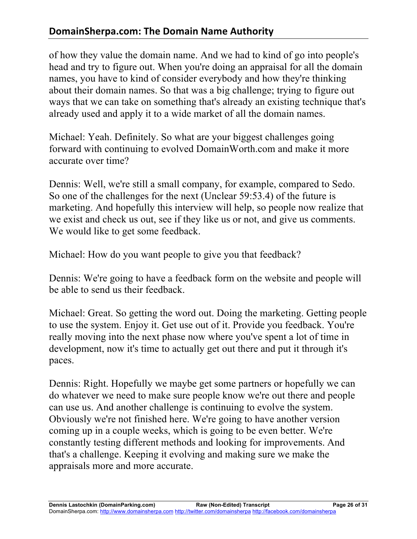## **DomainSherpa.com: The Domain Name Authority**

of how they value the domain name. And we had to kind of go into people's head and try to figure out. When you're doing an appraisal for all the domain names, you have to kind of consider everybody and how they're thinking about their domain names. So that was a big challenge; trying to figure out ways that we can take on something that's already an existing technique that's already used and apply it to a wide market of all the domain names.

Michael: Yeah. Definitely. So what are your biggest challenges going forward with continuing to evolved DomainWorth.com and make it more accurate over time?

Dennis: Well, we're still a small company, for example, compared to Sedo. So one of the challenges for the next (Unclear 59:53.4) of the future is marketing. And hopefully this interview will help, so people now realize that we exist and check us out, see if they like us or not, and give us comments. We would like to get some feedback.

Michael: How do you want people to give you that feedback?

Dennis: We're going to have a feedback form on the website and people will be able to send us their feedback.

Michael: Great. So getting the word out. Doing the marketing. Getting people to use the system. Enjoy it. Get use out of it. Provide you feedback. You're really moving into the next phase now where you've spent a lot of time in development, now it's time to actually get out there and put it through it's paces.

Dennis: Right. Hopefully we maybe get some partners or hopefully we can do whatever we need to make sure people know we're out there and people can use us. And another challenge is continuing to evolve the system. Obviously we're not finished here. We're going to have another version coming up in a couple weeks, which is going to be even better. We're constantly testing different methods and looking for improvements. And that's a challenge. Keeping it evolving and making sure we make the appraisals more and more accurate.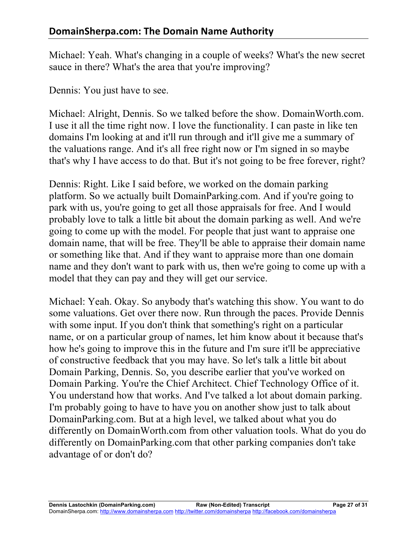Michael: Yeah. What's changing in a couple of weeks? What's the new secret sauce in there? What's the area that you're improving?

Dennis: You just have to see.

Michael: Alright, Dennis. So we talked before the show. DomainWorth.com. I use it all the time right now. I love the functionality. I can paste in like ten domains I'm looking at and it'll run through and it'll give me a summary of the valuations range. And it's all free right now or I'm signed in so maybe that's why I have access to do that. But it's not going to be free forever, right?

Dennis: Right. Like I said before, we worked on the domain parking platform. So we actually built DomainParking.com. And if you're going to park with us, you're going to get all those appraisals for free. And I would probably love to talk a little bit about the domain parking as well. And we're going to come up with the model. For people that just want to appraise one domain name, that will be free. They'll be able to appraise their domain name or something like that. And if they want to appraise more than one domain name and they don't want to park with us, then we're going to come up with a model that they can pay and they will get our service.

Michael: Yeah. Okay. So anybody that's watching this show. You want to do some valuations. Get over there now. Run through the paces. Provide Dennis with some input. If you don't think that something's right on a particular name, or on a particular group of names, let him know about it because that's how he's going to improve this in the future and I'm sure it'll be appreciative of constructive feedback that you may have. So let's talk a little bit about Domain Parking, Dennis. So, you describe earlier that you've worked on Domain Parking. You're the Chief Architect. Chief Technology Office of it. You understand how that works. And I've talked a lot about domain parking. I'm probably going to have to have you on another show just to talk about DomainParking.com. But at a high level, we talked about what you do differently on DomainWorth.com from other valuation tools. What do you do differently on DomainParking.com that other parking companies don't take advantage of or don't do?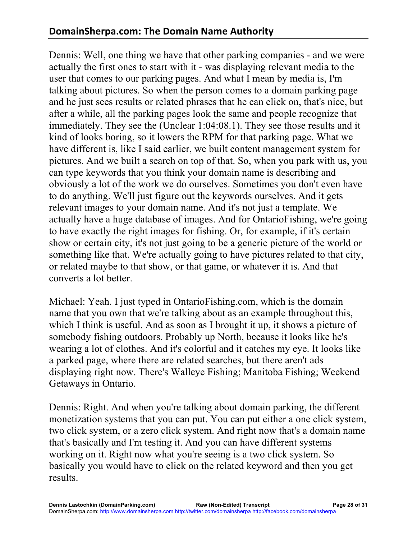Dennis: Well, one thing we have that other parking companies - and we were actually the first ones to start with it - was displaying relevant media to the user that comes to our parking pages. And what I mean by media is, I'm talking about pictures. So when the person comes to a domain parking page and he just sees results or related phrases that he can click on, that's nice, but after a while, all the parking pages look the same and people recognize that immediately. They see the (Unclear 1:04:08.1). They see those results and it kind of looks boring, so it lowers the RPM for that parking page. What we have different is, like I said earlier, we built content management system for pictures. And we built a search on top of that. So, when you park with us, you can type keywords that you think your domain name is describing and obviously a lot of the work we do ourselves. Sometimes you don't even have to do anything. We'll just figure out the keywords ourselves. And it gets relevant images to your domain name. And it's not just a template. We actually have a huge database of images. And for OntarioFishing, we're going to have exactly the right images for fishing. Or, for example, if it's certain show or certain city, it's not just going to be a generic picture of the world or something like that. We're actually going to have pictures related to that city, or related maybe to that show, or that game, or whatever it is. And that converts a lot better.

Michael: Yeah. I just typed in OntarioFishing.com, which is the domain name that you own that we're talking about as an example throughout this, which I think is useful. And as soon as I brought it up, it shows a picture of somebody fishing outdoors. Probably up North, because it looks like he's wearing a lot of clothes. And it's colorful and it catches my eye. It looks like a parked page, where there are related searches, but there aren't ads displaying right now. There's Walleye Fishing; Manitoba Fishing; Weekend Getaways in Ontario.

Dennis: Right. And when you're talking about domain parking, the different monetization systems that you can put. You can put either a one click system, two click system, or a zero click system. And right now that's a domain name that's basically and I'm testing it. And you can have different systems working on it. Right now what you're seeing is a two click system. So basically you would have to click on the related keyword and then you get results.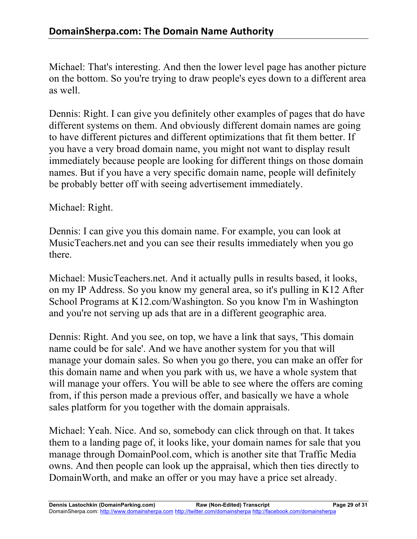Michael: That's interesting. And then the lower level page has another picture on the bottom. So you're trying to draw people's eyes down to a different area as well.

Dennis: Right. I can give you definitely other examples of pages that do have different systems on them. And obviously different domain names are going to have different pictures and different optimizations that fit them better. If you have a very broad domain name, you might not want to display result immediately because people are looking for different things on those domain names. But if you have a very specific domain name, people will definitely be probably better off with seeing advertisement immediately.

Michael: Right.

Dennis: I can give you this domain name. For example, you can look at MusicTeachers.net and you can see their results immediately when you go there.

Michael: MusicTeachers.net. And it actually pulls in results based, it looks, on my IP Address. So you know my general area, so it's pulling in K12 After School Programs at K12.com/Washington. So you know I'm in Washington and you're not serving up ads that are in a different geographic area.

Dennis: Right. And you see, on top, we have a link that says, 'This domain name could be for sale'. And we have another system for you that will manage your domain sales. So when you go there, you can make an offer for this domain name and when you park with us, we have a whole system that will manage your offers. You will be able to see where the offers are coming from, if this person made a previous offer, and basically we have a whole sales platform for you together with the domain appraisals.

Michael: Yeah. Nice. And so, somebody can click through on that. It takes them to a landing page of, it looks like, your domain names for sale that you manage through DomainPool.com, which is another site that Traffic Media owns. And then people can look up the appraisal, which then ties directly to DomainWorth, and make an offer or you may have a price set already.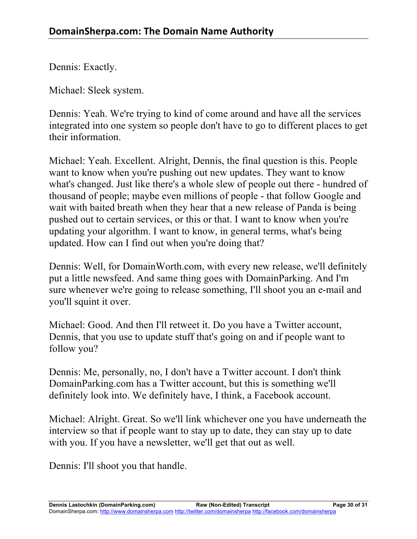Dennis: Exactly.

Michael: Sleek system.

Dennis: Yeah. We're trying to kind of come around and have all the services integrated into one system so people don't have to go to different places to get their information.

Michael: Yeah. Excellent. Alright, Dennis, the final question is this. People want to know when you're pushing out new updates. They want to know what's changed. Just like there's a whole slew of people out there - hundred of thousand of people; maybe even millions of people - that follow Google and wait with baited breath when they hear that a new release of Panda is being pushed out to certain services, or this or that. I want to know when you're updating your algorithm. I want to know, in general terms, what's being updated. How can I find out when you're doing that?

Dennis: Well, for DomainWorth.com, with every new release, we'll definitely put a little newsfeed. And same thing goes with DomainParking. And I'm sure whenever we're going to release something, I'll shoot you an e-mail and you'll squint it over.

Michael: Good. And then I'll retweet it. Do you have a Twitter account, Dennis, that you use to update stuff that's going on and if people want to follow you?

Dennis: Me, personally, no, I don't have a Twitter account. I don't think DomainParking.com has a Twitter account, but this is something we'll definitely look into. We definitely have, I think, a Facebook account.

Michael: Alright. Great. So we'll link whichever one you have underneath the interview so that if people want to stay up to date, they can stay up to date with you. If you have a newsletter, we'll get that out as well.

Dennis: I'll shoot you that handle.